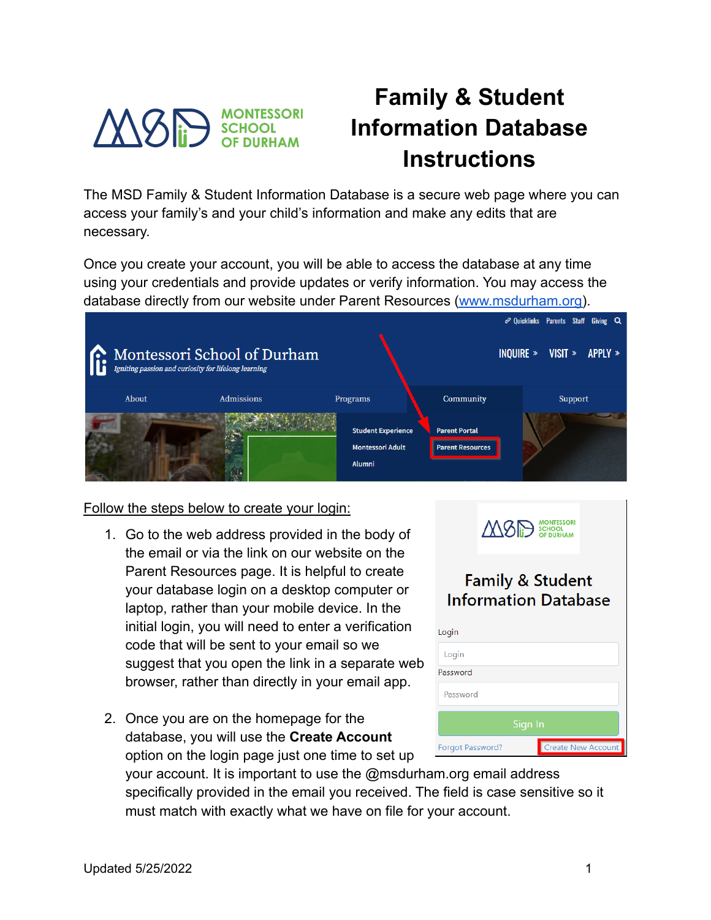

## **Family & Student Information Database Instructions**

The MSD Family & Student Information Database is a secure web page where you can access your family's and your child's information and make any edits that are necessary.

Once you create your account, you will be able to access the database at any time using your credentials and provide updates or verify information. You may access the database directly from our website under Parent Resources [\(www.msdurham.org\)](http://www.msdurham.org).



Follow the steps below to create your login:

- 1. Go to the web address provided in the body of the email or via the link on our website on the Parent Resources page. It is helpful to create your database login on a desktop computer or laptop, rather than your mobile device. In the initial login, you will need to enter a verification code that will be sent to your email so we suggest that you open the link in a separate web browser, rather than directly in your email app.
- 2. Once you are on the homepage for the database, you will use the **Create Account** option on the login page just one time to set up

|                  | MOP SCHOOL                                                 |                           |
|------------------|------------------------------------------------------------|---------------------------|
| ogin             | <b>Family &amp; Student</b><br><b>Information Database</b> |                           |
| Login            |                                                            |                           |
| assword          |                                                            |                           |
| Password         |                                                            |                           |
|                  | Sign In                                                    |                           |
| Forgot Password? |                                                            | <b>Create New Account</b> |

your account. It is important to use the @msdurham.org email address specifically provided in the email you received. The field is case sensitive so it must match with exactly what we have on file for your account.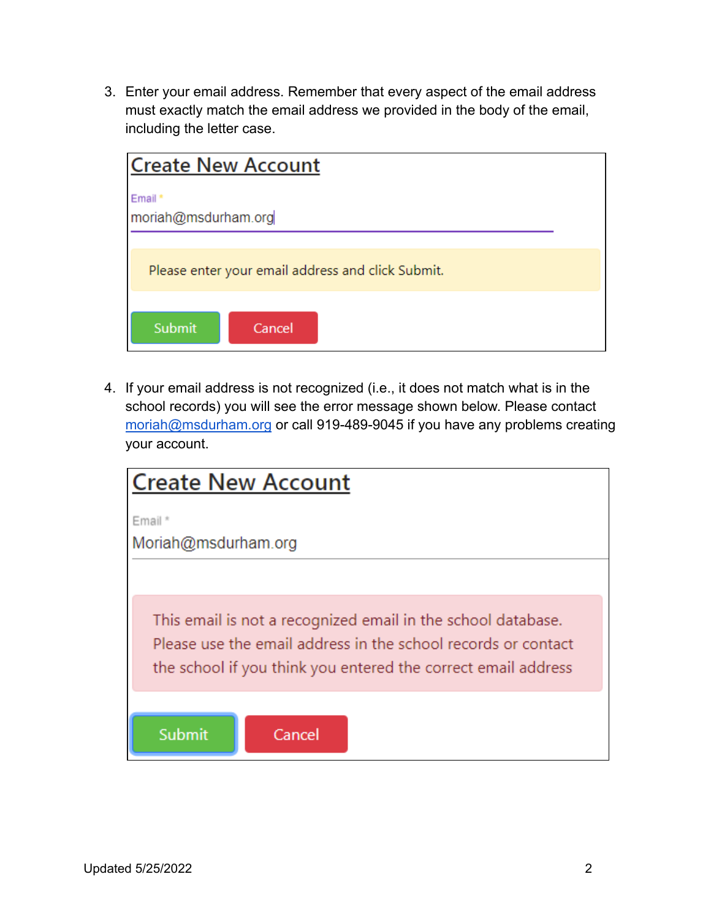3. Enter your email address. Remember that every aspect of the email address must exactly match the email address we provided in the body of the email, including the letter case.

| <b>Create New Account</b>                         |  |
|---------------------------------------------------|--|
| Email *<br>moriah@msdurham.org                    |  |
| Please enter your email address and click Submit. |  |
| Submit<br>Cancel                                  |  |

4. If your email address is not recognized (i.e., it does not match what is in the school records) you will see the error message shown below. Please contact [moriah@msdurham.org](mailto:moriah@msdurham.org) or call 919-489-9045 if you have any problems creating your account.

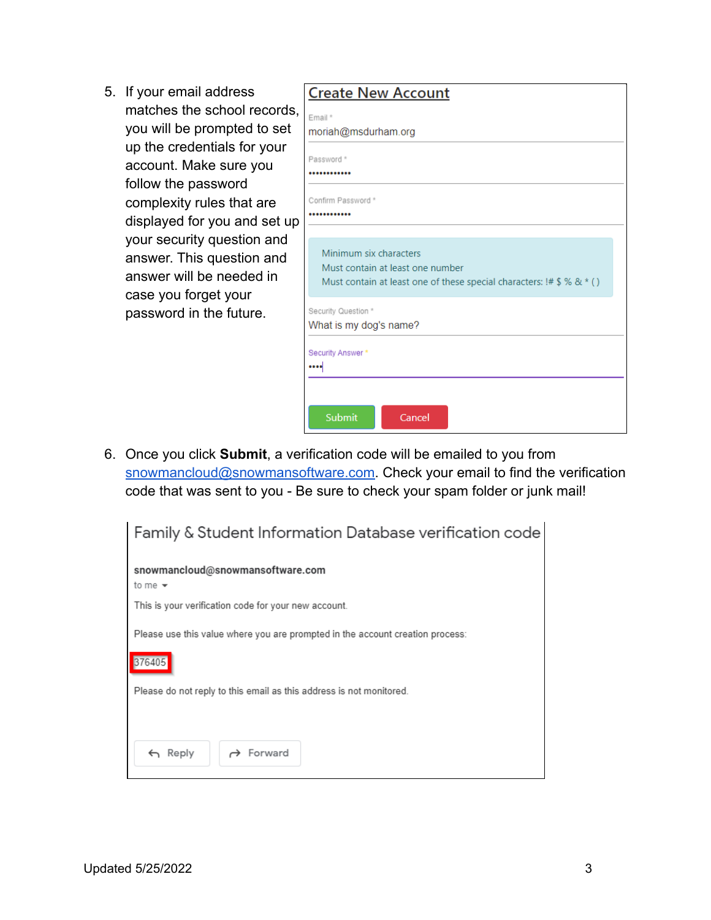5. If your email address matches the school records, you will be prompted to set up the credentials for your account. Make sure you follow the password complexity rules that are displayed for you and set up your security question and answer. This question and answer will be needed in case you forget your password in the future.

| <b>Create New Account</b>                                              |
|------------------------------------------------------------------------|
| Email*                                                                 |
| moriah@msdurham.org                                                    |
| Password *                                                             |
|                                                                        |
| Confirm Password *                                                     |
|                                                                        |
|                                                                        |
| Minimum six characters                                                 |
| Must contain at least one number                                       |
| Must contain at least one of these special characters: $!# $$ % & * () |
| Security Question *                                                    |
| What is my dog's name?                                                 |
| Security Answer*                                                       |
| $\cdots$                                                               |
|                                                                        |
|                                                                        |
| Submit<br>Cancel                                                       |

6. Once you click **Submit**, a verification code will be emailed to you from [snowmancloud@snowmansoftware.com.](mailto:snowmancloud@snowmansoftware.com) Check your email to find the verification code that was sent to you - Be sure to check your spam folder or junk mail!

| Family & Student Information Database verification code                       |
|-------------------------------------------------------------------------------|
| snowmancloud@snowmansoftware.com<br>to me $\star$                             |
| This is your verification code for your new account.                          |
| Please use this value where you are prompted in the account creation process: |
| 376405                                                                        |
| Please do not reply to this email as this address is not monitored.           |
|                                                                               |
| $\rightarrow$ Forward<br>Reply<br>$\leftarrow$                                |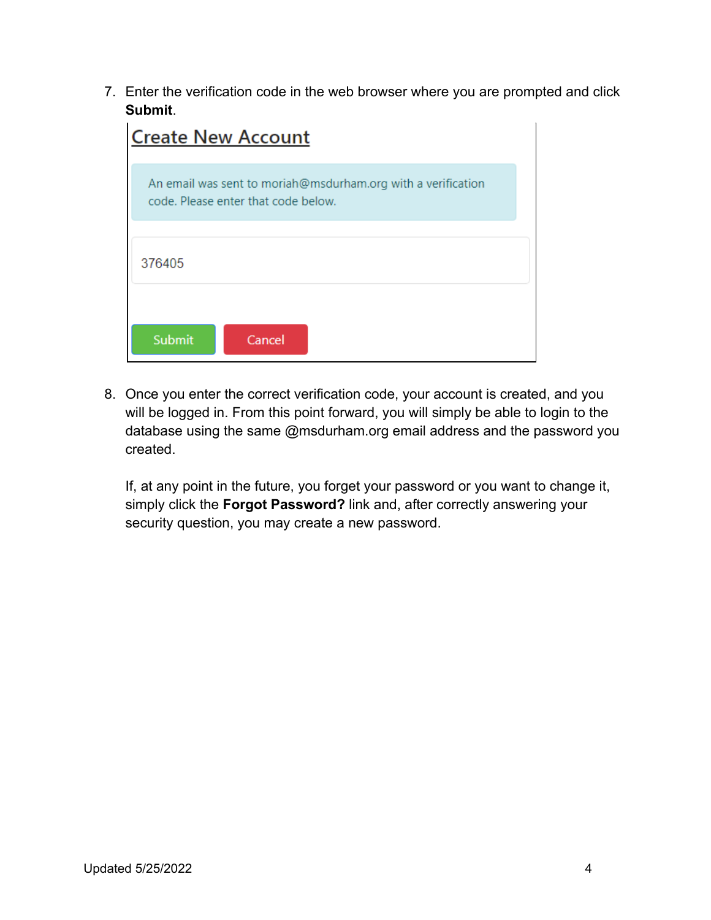7. Enter the verification code in the web browser where you are prompted and click **Submit**.

| <b>Create New Account</b>                                                                           |  |
|-----------------------------------------------------------------------------------------------------|--|
| An email was sent to moriah@msdurham.org with a verification<br>code. Please enter that code below. |  |
| 376405                                                                                              |  |
| Submit<br>Cancel                                                                                    |  |

8. Once you enter the correct verification code, your account is created, and you will be logged in. From this point forward, you will simply be able to login to the database using the same @msdurham.org email address and the password you created.

If, at any point in the future, you forget your password or you want to change it, simply click the **Forgot Password?** link and, after correctly answering your security question, you may create a new password.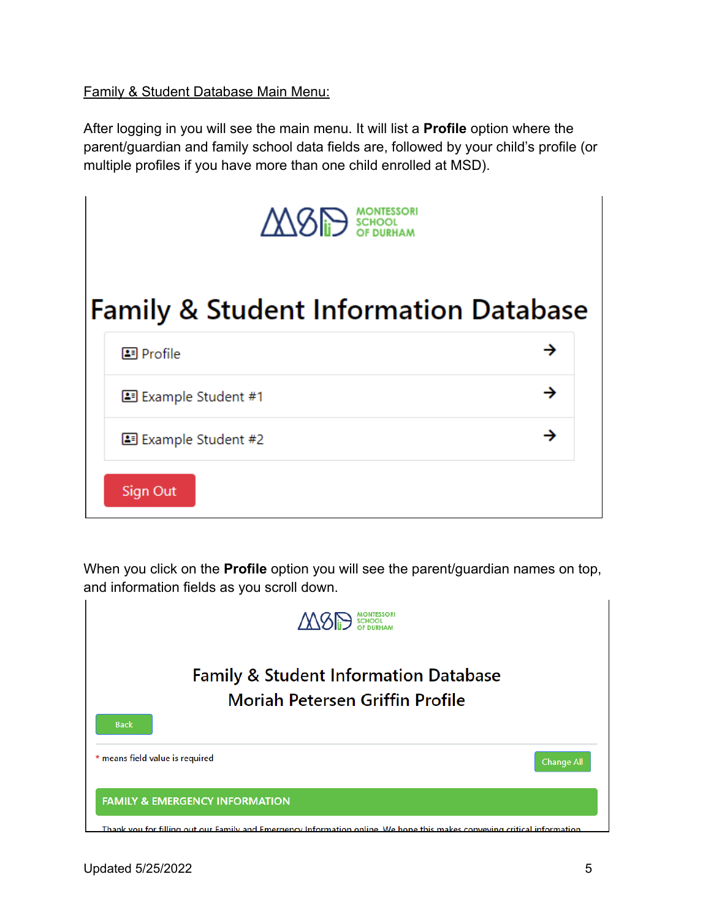Family & Student Database Main Menu:

After logging in you will see the main menu. It will list a **Profile** option where the parent/guardian and family school data fields are, followed by your child's profile (or multiple profiles if you have more than one child enrolled at MSD).

| M8P SCHOOL                                       |  |
|--------------------------------------------------|--|
| <b>Family &amp; Student Information Database</b> |  |
| 国 Profile                                        |  |
| 图 Example Student #1                             |  |
| 国 Example Student #2                             |  |
| <b>Sign Out</b>                                  |  |

When you click on the **Profile** option you will see the parent/guardian names on top, and information fields as you scroll down.

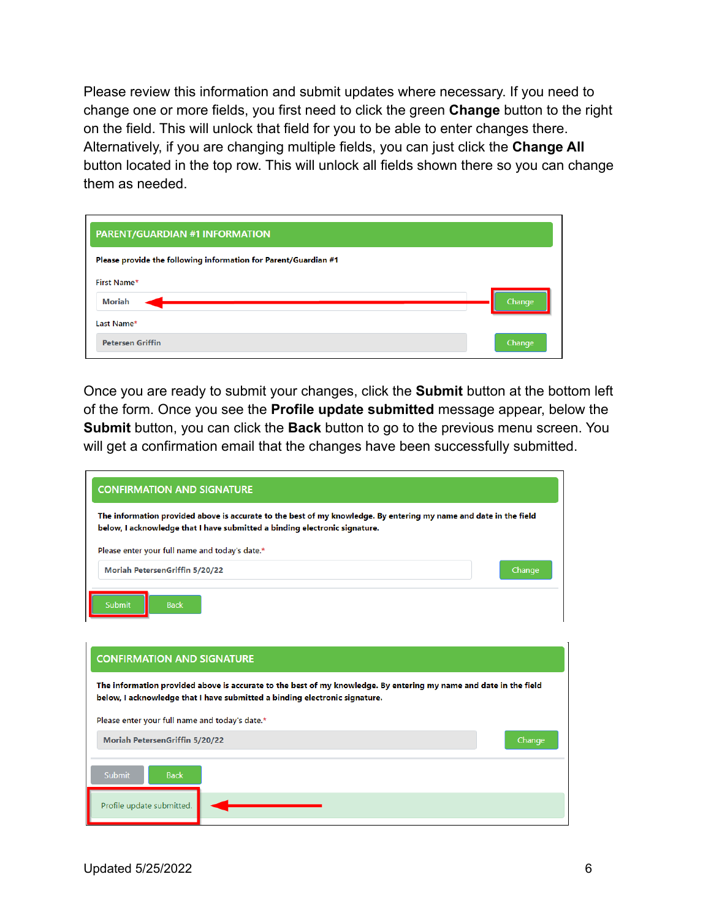Please review this information and submit updates where necessary. If you need to change one or more fields, you first need to click the green **Change** button to the right on the field. This will unlock that field for you to be able to enter changes there. Alternatively, if you are changing multiple fields, you can just click the **Change All** button located in the top row. This will unlock all fields shown there so you can change them as needed.

| PARENT/GUARDIAN #1 INFORMATION                                  |        |
|-----------------------------------------------------------------|--------|
| Please provide the following information for Parent/Guardian #1 |        |
| First Name*                                                     |        |
| Moriah                                                          | Change |
| Last Name*                                                      |        |
| <b>Petersen Griffin</b>                                         | Change |

Once you are ready to submit your changes, click the **Submit** button at the bottom left of the form. Once you see the **Profile update submitted** message appear, below the **Submit** button, you can click the **Back** button to go to the previous menu screen. You will get a confirmation email that the changes have been successfully submitted.

| <b>CONFIRMATION AND SIGNATURE</b>                                                                                                                                                               |        |
|-------------------------------------------------------------------------------------------------------------------------------------------------------------------------------------------------|--------|
| The information provided above is accurate to the best of my knowledge. By entering my name and date in the field<br>below, I acknowledge that I have submitted a binding electronic signature. |        |
| Please enter your full name and today's date.*                                                                                                                                                  |        |
| Moriah PetersenGriffin 5/20/22                                                                                                                                                                  | Change |
| Submit<br><b>Back</b>                                                                                                                                                                           |        |

| <b>CONFIRMATION AND SIGNATURE</b>                                                                                                                                                               |        |  |
|-------------------------------------------------------------------------------------------------------------------------------------------------------------------------------------------------|--------|--|
| The information provided above is accurate to the best of my knowledge. By entering my name and date in the field<br>below, I acknowledge that I have submitted a binding electronic signature. |        |  |
| Please enter your full name and today's date.*                                                                                                                                                  |        |  |
| <b>Moriah PetersenGriffin 5/20/22</b>                                                                                                                                                           | Change |  |
| Submit<br><b>Back</b>                                                                                                                                                                           |        |  |
| Profile update submitted.                                                                                                                                                                       |        |  |